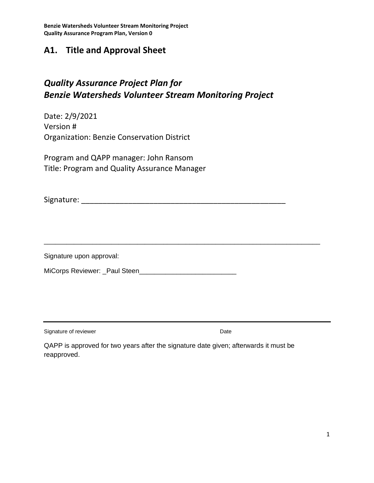### **A1. Title and Approval Sheet**

## *Quality Assurance Project Plan for Benzie Watersheds Volunteer Stream Monitoring Project*

Date: 2/9/2021 Version # Organization: Benzie Conservation District

Program and QAPP manager: John Ransom Title: Program and Quality Assurance Manager

Signature: \_\_\_\_\_\_\_\_\_\_\_\_\_\_\_\_\_\_\_\_\_\_\_\_\_\_\_\_\_\_\_\_\_\_\_\_\_\_\_\_\_\_\_\_\_\_\_\_

\_\_\_\_\_\_\_\_\_\_\_\_\_\_\_\_\_\_\_\_\_\_\_\_\_\_\_\_\_\_\_\_\_\_\_\_\_\_\_\_\_\_\_\_\_\_\_\_\_\_\_\_\_\_\_\_\_\_\_\_\_\_\_\_\_\_\_\_\_\_\_\_\_\_

Signature upon approval:

MiCorps Reviewer: \_Paul Steen\_\_\_\_\_\_\_\_\_\_\_\_\_\_\_\_\_\_\_\_\_\_\_\_\_\_

Signature of reviewer **Date** 

QAPP is approved for two years after the signature date given; afterwards it must be reapproved.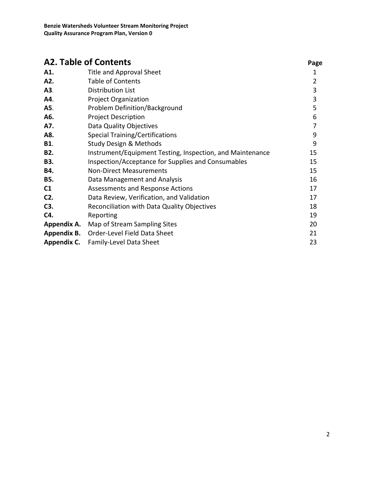| <b>A2. Table of Contents</b> |                                                           | Page           |
|------------------------------|-----------------------------------------------------------|----------------|
| A1.                          | Title and Approval Sheet                                  | 1              |
| A2.                          | <b>Table of Contents</b>                                  | $\overline{2}$ |
| A3.                          | <b>Distribution List</b>                                  | 3              |
| A4.                          | <b>Project Organization</b>                               | 3              |
| A5.                          | Problem Definition/Background                             | 5              |
| A6.                          | <b>Project Description</b>                                | 6              |
| A7.                          | Data Quality Objectives                                   | 7              |
| A8.                          | <b>Special Training/Certifications</b>                    | 9              |
| <b>B1.</b>                   | Study Design & Methods                                    | 9              |
| B <sub>2</sub> .             | Instrument/Equipment Testing, Inspection, and Maintenance | 15             |
| <b>B3.</b>                   | Inspection/Acceptance for Supplies and Consumables        | 15             |
| B4.                          | <b>Non-Direct Measurements</b>                            | 15             |
| <b>B5.</b>                   | Data Management and Analysis                              | 16             |
| C1                           | Assessments and Response Actions                          | 17             |
| $C2$ .                       | Data Review, Verification, and Validation                 | 17             |
| C3.                          | Reconciliation with Data Quality Objectives               | 18             |
| C4.                          | Reporting                                                 | 19             |
| Appendix A.                  | Map of Stream Sampling Sites                              | 20             |
| Appendix B.                  | Order-Level Field Data Sheet                              | 21             |
| Appendix C.                  | Family-Level Data Sheet                                   | 23             |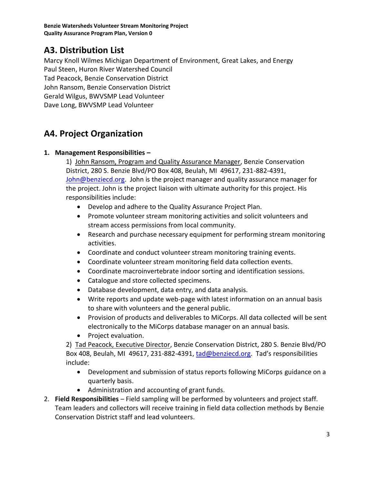## **A3. Distribution List**

Marcy Knoll Wilmes Michigan Department of Environment, Great Lakes, and Energy Paul Steen, Huron River Watershed Council Tad Peacock, Benzie Conservation District John Ransom, Benzie Conservation District

Gerald Wilgus, BWVSMP Lead Volunteer

Dave Long, BWVSMP Lead Volunteer

## **A4. Project Organization**

#### **1. Management Responsibilities –**

1) John Ransom, Program and Quality Assurance Manager, Benzie Conservation District, 280 S. Benzie Blvd/PO Box 408, Beulah, MI 49617, 231-882-4391, [John@benziecd.org.](mailto:mike@benziecd.org) John is the project manager and quality assurance manager for the project. John is the project liaison with ultimate authority for this project. His responsibilities include:

- Develop and adhere to the Quality Assurance Project Plan.
- Promote volunteer stream monitoring activities and solicit volunteers and stream access permissions from local community.
- Research and purchase necessary equipment for performing stream monitoring activities.
- Coordinate and conduct volunteer stream monitoring training events.
- Coordinate volunteer stream monitoring field data collection events.
- Coordinate macroinvertebrate indoor sorting and identification sessions.
- Catalogue and store collected specimens.
- Database development, data entry, and data analysis.
- Write reports and update web-page with latest information on an annual basis to share with volunteers and the general public.
- Provision of products and deliverables to MiCorps. All data collected will be sent electronically to the MiCorps database manager on an annual basis.
- Project evaluation.

2) Tad Peacock, Executive Director, Benzie Conservation District, 280 S. Benzie Blvd/PO Box 408, Beulah, MI 49617, 231-882-4391[, tad@benziecd.org](mailto:tad@benziecd.org). Tad's responsibilities include:

- Development and submission of status reports following MiCorps guidance on a quarterly basis.
- Administration and accounting of grant funds.
- 2. **Field Responsibilities** Field sampling will be performed by volunteers and project staff. Team leaders and collectors will receive training in field data collection methods by Benzie Conservation District staff and lead volunteers.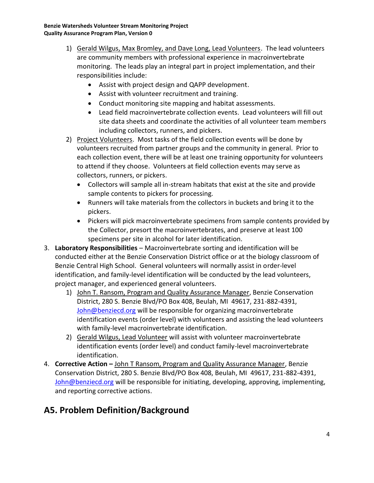- 1) Gerald Wilgus, Max Bromley, and Dave Long, Lead Volunteers. The lead volunteers are community members with professional experience in macroinvertebrate monitoring. The leads play an integral part in project implementation, and their responsibilities include:
	- Assist with project design and QAPP development.
	- Assist with volunteer recruitment and training.
	- Conduct monitoring site mapping and habitat assessments.
	- Lead field macroinvertebrate collection events. Lead volunteers will fill out site data sheets and coordinate the activities of all volunteer team members including collectors, runners, and pickers.
- 2) Project Volunteers. Most tasks of the field collection events will be done by volunteers recruited from partner groups and the community in general. Prior to each collection event, there will be at least one training opportunity for volunteers to attend if they choose. Volunteers at field collection events may serve as collectors, runners, or pickers.
	- Collectors will sample all in-stream habitats that exist at the site and provide sample contents to pickers for processing.
	- Runners will take materials from the collectors in buckets and bring it to the pickers.
	- Pickers will pick macroinvertebrate specimens from sample contents provided by the Collector, presort the macroinvertebrates, and preserve at least 100 specimens per site in alcohol for later identification.
- 3. **Laboratory Responsibilities**  Macroinvertebrate sorting and identification will be conducted either at the Benzie Conservation District office or at the biology classroom of Benzie Central High School. General volunteers will normally assist in order-level identification, and family-level identification will be conducted by the lead volunteers, project manager, and experienced general volunteers.
	- 1) John T. Ransom, Program and Quality Assurance Manager, Benzie Conservation District, 280 S. Benzie Blvd/PO Box 408, Beulah, MI 49617, 231-882-4391, [John@benziecd.org](mailto:mike@benziecd.org) will be responsible for organizing macroinvertebrate identification events (order level) with volunteers and assisting the lead volunteers with family-level macroinvertebrate identification.
	- 2) Gerald Wilgus, Lead Volunteer will assist with volunteer macroinvertebrate identification events (order level) and conduct family-level macroinvertebrate identification.
- 4. **Corrective Action –** John T Ransom, Program and Quality Assurance Manager, Benzie Conservation District, 280 S. Benzie Blvd/PO Box 408, Beulah, MI 49617, 231-882-4391, [John@benziecd.org](mailto:mike@benziecd.org) will be responsible for initiating, developing, approving, implementing, and reporting corrective actions.

# **A5. Problem Definition/Background**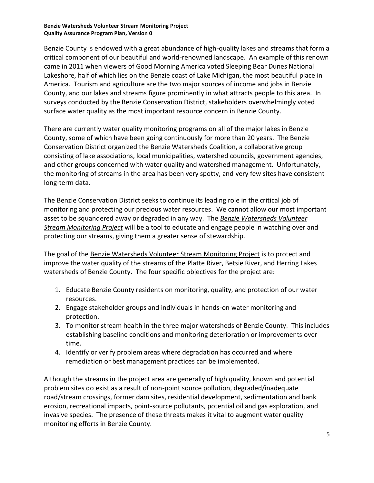Benzie County is endowed with a great abundance of high-quality lakes and streams that form a critical component of our beautiful and world-renowned landscape. An example of this renown came in 2011 when viewers of Good Morning America voted Sleeping Bear Dunes National Lakeshore, half of which lies on the Benzie coast of Lake Michigan, the most beautiful place in America. Tourism and agriculture are the two major sources of income and jobs in Benzie County, and our lakes and streams figure prominently in what attracts people to this area. In surveys conducted by the Benzie Conservation District, stakeholders overwhelmingly voted surface water quality as the most important resource concern in Benzie County.

There are currently water quality monitoring programs on all of the major lakes in Benzie County, some of which have been going continuously for more than 20 years. The Benzie Conservation District organized the Benzie Watersheds Coalition, a collaborative group consisting of lake associations, local municipalities, watershed councils, government agencies, and other groups concerned with water quality and watershed management. Unfortunately, the monitoring of streams in the area has been very spotty, and very few sites have consistent long-term data.

The Benzie Conservation District seeks to continue its leading role in the critical job of monitoring and protecting our precious water resources. We cannot allow our most important asset to be squandered away or degraded in any way. The *Benzie Watersheds Volunteer Stream Monitoring Project* will be a tool to educate and engage people in watching over and protecting our streams, giving them a greater sense of stewardship.

The goal of the Benzie Watersheds Volunteer Stream Monitoring Project is to protect and improve the water quality of the streams of the Platte River, Betsie River, and Herring Lakes watersheds of Benzie County. The four specific objectives for the project are:

- 1. Educate Benzie County residents on monitoring, quality, and protection of our water resources.
- 2. Engage stakeholder groups and individuals in hands-on water monitoring and protection.
- 3. To monitor stream health in the three major watersheds of Benzie County. This includes establishing baseline conditions and monitoring deterioration or improvements over time.
- 4. Identify or verify problem areas where degradation has occurred and where remediation or best management practices can be implemented.

Although the streams in the project area are generally of high quality, known and potential problem sites do exist as a result of non-point source pollution, degraded/inadequate road/stream crossings, former dam sites, residential development, sedimentation and bank erosion, recreational impacts, point-source pollutants, potential oil and gas exploration, and invasive species. The presence of these threats makes it vital to augment water quality monitoring efforts in Benzie County.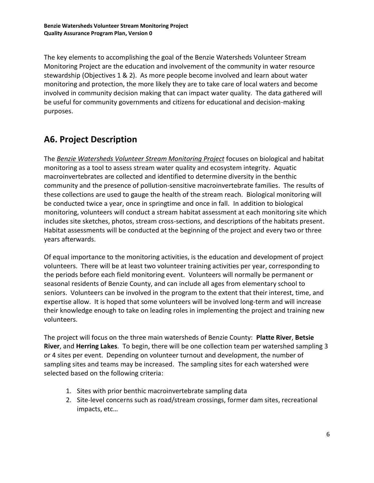The key elements to accomplishing the goal of the Benzie Watersheds Volunteer Stream Monitoring Project are the education and involvement of the community in water resource stewardship (Objectives 1 & 2). As more people become involved and learn about water monitoring and protection, the more likely they are to take care of local waters and become involved in community decision making that can impact water quality. The data gathered will be useful for community governments and citizens for educational and decision-making purposes.

# **A6. Project Description**

The *Benzie Watersheds Volunteer Stream Monitoring Project* focuses on biological and habitat monitoring as a tool to assess stream water quality and ecosystem integrity. Aquatic macroinvertebrates are collected and identified to determine diversity in the benthic community and the presence of pollution-sensitive macroinvertebrate families. The results of these collections are used to gauge the health of the stream reach. Biological monitoring will be conducted twice a year, once in springtime and once in fall. In addition to biological monitoring, volunteers will conduct a stream habitat assessment at each monitoring site which includes site sketches, photos, stream cross-sections, and descriptions of the habitats present. Habitat assessments will be conducted at the beginning of the project and every two or three years afterwards.

Of equal importance to the monitoring activities, is the education and development of project volunteers. There will be at least two volunteer training activities per year, corresponding to the periods before each field monitoring event. Volunteers will normally be permanent or seasonal residents of Benzie County, and can include all ages from elementary school to seniors. Volunteers can be involved in the program to the extent that their interest, time, and expertise allow. It is hoped that some volunteers will be involved long-term and will increase their knowledge enough to take on leading roles in implementing the project and training new volunteers.

The project will focus on the three main watersheds of Benzie County: **Platte River**, **Betsie River**, and **Herring Lakes**. To begin, there will be one collection team per watershed sampling 3 or 4 sites per event. Depending on volunteer turnout and development, the number of sampling sites and teams may be increased. The sampling sites for each watershed were selected based on the following criteria:

- 1. Sites with prior benthic macroinvertebrate sampling data
- 2. Site-level concerns such as road/stream crossings, former dam sites, recreational impacts, etc…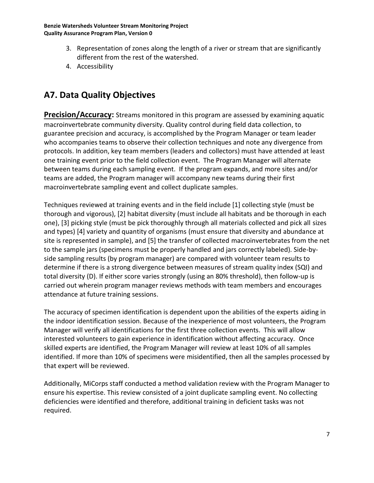- 3. Representation of zones along the length of a river or stream that are significantly different from the rest of the watershed.
- 4. Accessibility

# **A7. Data Quality Objectives**

**Precision/Accuracy:** Streams monitored in this program are assessed by examining aquatic macroinvertebrate community diversity. Quality control during field data collection, to guarantee precision and accuracy, is accomplished by the Program Manager or team leader who accompanies teams to observe their collection techniques and note any divergence from protocols. In addition, key team members (leaders and collectors) must have attended at least one training event prior to the field collection event. The Program Manager will alternate between teams during each sampling event. If the program expands, and more sites and/or teams are added, the Program manager will accompany new teams during their first macroinvertebrate sampling event and collect duplicate samples.

Techniques reviewed at training events and in the field include [1] collecting style (must be thorough and vigorous), [2] habitat diversity (must include all habitats and be thorough in each one), [3] picking style (must be pick thoroughly through all materials collected and pick all sizes and types) [4] variety and quantity of organisms (must ensure that diversity and abundance at site is represented in sample), and [5] the transfer of collected macroinvertebrates from the net to the sample jars (specimens must be properly handled and jars correctly labeled). Side-byside sampling results (by program manager) are compared with volunteer team results to determine if there is a strong divergence between measures of stream quality index (SQI) and total diversity (D). If either score varies strongly (using an 80% threshold), then follow-up is carried out wherein program manager reviews methods with team members and encourages attendance at future training sessions.

The accuracy of specimen identification is dependent upon the abilities of the experts aiding in the indoor identification session. Because of the inexperience of most volunteers, the Program Manager will verify all identifications for the first three collection events. This will allow interested volunteers to gain experience in identification without affecting accuracy. Once skilled experts are identified, the Program Manager will review at least 10% of all samples identified. If more than 10% of specimens were misidentified, then all the samples processed by that expert will be reviewed.

Additionally, MiCorps staff conducted a method validation review with the Program Manager to ensure his expertise. This review consisted of a joint duplicate sampling event. No collecting deficiencies were identified and therefore, additional training in deficient tasks was not required.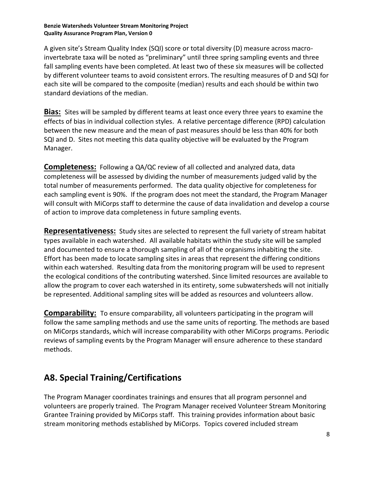A given site's Stream Quality Index (SQI) score or total diversity (D) measure across macroinvertebrate taxa will be noted as "preliminary" until three spring sampling events and three fall sampling events have been completed. At least two of these six measures will be collected by different volunteer teams to avoid consistent errors. The resulting measures of D and SQI for each site will be compared to the composite (median) results and each should be within two standard deviations of the median.

**Bias:** Sites will be sampled by different teams at least once every three years to examine the effects of bias in individual collection styles. A relative percentage difference (RPD) calculation between the new measure and the mean of past measures should be less than 40% for both SQI and D. Sites not meeting this data quality objective will be evaluated by the Program Manager.

**Completeness:** Following a QA/QC review of all collected and analyzed data, data completeness will be assessed by dividing the number of measurements judged valid by the total number of measurements performed. The data quality objective for completeness for each sampling event is 90%. If the program does not meet the standard, the Program Manager will consult with MiCorps staff to determine the cause of data invalidation and develop a course of action to improve data completeness in future sampling events.

**Representativeness:** Study sites are selected to represent the full variety of stream habitat types available in each watershed. All available habitats within the study site will be sampled and documented to ensure a thorough sampling of all of the organisms inhabiting the site. Effort has been made to locate sampling sites in areas that represent the differing conditions within each watershed. Resulting data from the monitoring program will be used to represent the ecological conditions of the contributing watershed. Since limited resources are available to allow the program to cover each watershed in its entirety, some subwatersheds will not initially be represented. Additional sampling sites will be added as resources and volunteers allow.

**Comparability:** To ensure comparability, all volunteers participating in the program will follow the same sampling methods and use the same units of reporting. The methods are based on MiCorps standards, which will increase comparability with other MiCorps programs. Periodic reviews of sampling events by the Program Manager will ensure adherence to these standard methods.

## **A8. Special Training/Certifications**

The Program Manager coordinates trainings and ensures that all program personnel and volunteers are properly trained. The Program Manager received Volunteer Stream Monitoring Grantee Training provided by MiCorps staff. This training provides information about basic stream monitoring methods established by MiCorps. Topics covered included stream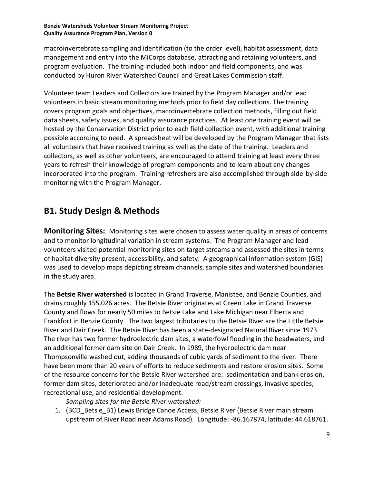macroinvertebrate sampling and identification (to the order level), habitat assessment, data management and entry into the MiCorps database, attracting and retaining volunteers, and program evaluation. The training included both indoor and field components, and was conducted by Huron River Watershed Council and Great Lakes Commission staff.

Volunteer team Leaders and Collectors are trained by the Program Manager and/or lead volunteers in basic stream monitoring methods prior to field day collections. The training covers program goals and objectives, macroinvertebrate collection methods, filling out field data sheets, safety issues, and quality assurance practices. At least one training event will be hosted by the Conservation District prior to each field collection event, with additional training possible according to need. A spreadsheet will be developed by the Program Manager that lists all volunteers that have received training as well as the date of the training. Leaders and collectors, as well as other volunteers, are encouraged to attend training at least every three years to refresh their knowledge of program components and to learn about any changes incorporated into the program. Training refreshers are also accomplished through side-by-side monitoring with the Program Manager.

## **B1. Study Design & Methods**

**Monitoring Sites:** Monitoring sites were chosen to assess water quality in areas of concerns and to monitor longitudinal variation in stream systems. The Program Manager and lead volunteers visited potential monitoring sites on target streams and assessed the sites in terms of habitat diversity present, accessibility, and safety. A geographical information system (GIS) was used to develop maps depicting stream channels, sample sites and watershed boundaries in the study area.

The **Betsie River watershed** is located in Grand Traverse, Manistee, and Benzie Counties, and drains roughly 155,026 acres. The Betsie River originates at Green Lake in Grand Traverse County and flows for nearly 50 miles to Betsie Lake and Lake Michigan near Elberta and Frankfort in Benzie County. The two largest tributaries to the Betsie River are the Little Betsie River and Dair Creek. The Betsie River has been a state-designated Natural River since 1973. The river has two former hydroelectric dam sites, a waterfowl flooding in the headwaters, and an additional former dam site on Dair Creek. In 1989, the hydroelectric dam near Thompsonville washed out, adding thousands of cubic yards of sediment to the river. There have been more than 20 years of efforts to reduce sediments and restore erosion sites. Some of the resource concerns for the Betsie River watershed are: sedimentation and bank erosion, former dam sites, deteriorated and/or inadequate road/stream crossings, invasive species, recreational use, and residential development.

*Sampling sites for the Betsie River watershed:*

1. (BCD Betsie B1) Lewis Bridge Canoe Access, Betsie River (Betsie River main stream upstream of River Road near Adams Road). Longitude: -86.167874, latitude: 44.618761.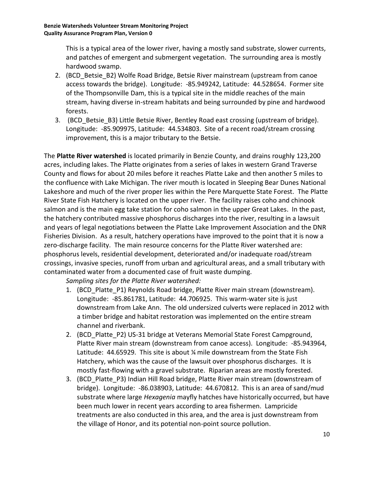This is a typical area of the lower river, having a mostly sand substrate, slower currents, and patches of emergent and submergent vegetation. The surrounding area is mostly hardwood swamp.

- 2. (BCD Betsie B2) Wolfe Road Bridge, Betsie River mainstream (upstream from canoe access towards the bridge). Longitude: -85.949242, Latitude: 44.528654. Former site of the Thompsonville Dam, this is a typical site in the middle reaches of the main stream, having diverse in-stream habitats and being surrounded by pine and hardwood forests.
- 3. (BCD Betsie B3) Little Betsie River, Bentley Road east crossing (upstream of bridge). Longitude: -85.909975, Latitude: 44.534803. Site of a recent road/stream crossing improvement, this is a major tributary to the Betsie.

The **Platte River watershed** is located primarily in Benzie County, and drains roughly 123,200 acres, including lakes. The Platte originates from a series of lakes in western Grand Traverse County and flows for about 20 miles before it reaches Platte Lake and then another 5 miles to the confluence with Lake Michigan. The river mouth is located in Sleeping Bear Dunes National Lakeshore and much of the river proper lies within the Pere Marquette State Forest. The Platte River State Fish Hatchery is located on the upper river. The facility raises coho and chinook salmon and is the main egg take station for coho salmon in the upper Great Lakes. In the past, the hatchery contributed massive phosphorus discharges into the river, resulting in a lawsuit and years of legal negotiations between the Platte Lake Improvement Association and the DNR Fisheries Division. As a result, hatchery operations have improved to the point that it is now a zero-discharge facility. The main resource concerns for the Platte River watershed are: phosphorus levels, residential development, deteriorated and/or inadequate road/stream crossings, invasive species, runoff from urban and agricultural areas, and a small tributary with contaminated water from a documented case of fruit waste dumping.

*Sampling sites for the Platte River watershed:*

- 1. (BCD Platte P1) Reynolds Road bridge, Platte River main stream (downstream). Longitude: -85.861781, Latitude: 44.706925. This warm-water site is just downstream from Lake Ann. The old undersized culverts were replaced in 2012 with a timber bridge and habitat restoration was implemented on the entire stream channel and riverbank.
- 2. (BCD Platte P2) US-31 bridge at Veterans Memorial State Forest Campground, Platte River main stream (downstream from canoe access). Longitude: -85.943964, Latitude: 44.65929. This site is about % mile downstream from the State Fish Hatchery, which was the cause of the lawsuit over phosphorus discharges. It is mostly fast-flowing with a gravel substrate. Riparian areas are mostly forested.
- 3. (BCD Platte P3) Indian Hill Road bridge, Platte River main stream (downstream of bridge). Longitude: -86.038903, Latitude: 44.670812. This is an area of sand/mud substrate where large *Hexagenia* mayfly hatches have historically occurred, but have been much lower in recent years according to area fishermen. Lampricide treatments are also conducted in this area, and the area is just downstream from the village of Honor, and its potential non-point source pollution.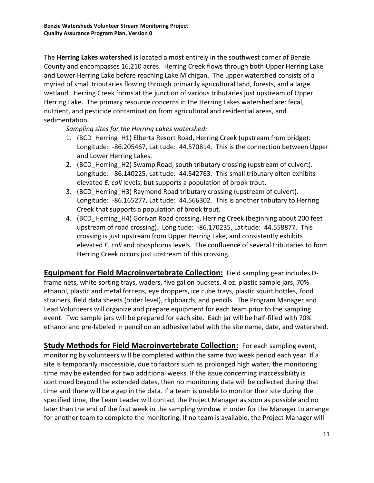The **Herring Lakes watershed** is located almost entirely in the southwest corner of Benzie County and encompasses 16,210 acres. Herring Creek flows through both Upper Herring Lake and Lower Herring Lake before reaching Lake Michigan. The upper watershed consists of a myriad of small tributaries flowing through primarily agricultural land, forests, and a large wetland. Herring Creek forms at the junction of various tributaries just upstream of Upper Herring Lake. The primary resource concerns in the Herring Lakes watershed are: fecal, nutrient, and pesticide contamination from agricultural and residential areas, and sedimentation.

*Sampling sites for the Herring Lakes watershed:*

- 1. (BCD Herring H1) Elberta Resort Road, Herring Creek (upstream from bridge). Longitude: -86.205467, Latitude: 44.570814. This is the connection between Upper and Lower Herring Lakes.
- 2. (BCD Herring H2) Swamp Road, south tributary crossing (upstream of culvert). Longitude: -86.140225, Latitude: 44.542763. This small tributary often exhibits elevated *E. coli* levels, but supports a population of brook trout.
- 3. (BCD Herring H3) Raymond Road tributary crossing (upstream of culvert). Longitude: -86.165277, Latitude: 44.566302. This is another tributary to Herring Creek that supports a population of brook trout.
- 4. (BCD Herring H4) Gorivan Road crossing, Herring Creek (beginning about 200 feet upstream of road crossing). Longitude: -86.170235, Latitude: 44.558877. This crossing is just upstream from Upper Herring Lake, and consistently exhibits elevated *E. coli* and phosphorus levels. The confluence of several tributaries to form Herring Creek occurs just upstream of this crossing.

**Equipment for Field Macroinvertebrate Collection:** Field sampling gear includes Dframe nets, white sorting trays, waders, five gallon buckets, 4 oz. plastic sample jars, 70% ethanol, plastic and metal forceps, eye droppers, ice cube trays, plastic squirt bottles, food strainers, field data sheets (order level), clipboards, and pencils. The Program Manager and Lead Volunteers will organize and prepare equipment for each team prior to the sampling event. Two sample jars will be prepared for each site. Each jar will be half-filled with 70% ethanol and pre-labeled in pencil on an adhesive label with the site name, date, and watershed.

**Study Methods for Field Macroinvertebrate Collection:** For each sampling event, monitoring by volunteers will be completed within the same two week period each year. If a site is temporarily inaccessible, due to factors such as prolonged high water, the monitoring time may be extended for two additional weeks. If the issue concerning inaccessibility is continued beyond the extended dates, then no monitoring data will be collected during that time and there will be a gap in the data. If a team is unable to monitor their site during the specified time, the Team Leader will contact the Project Manager as soon as possible and no later than the end of the first week in the sampling window in order for the Manager to arrange for another team to complete the monitoring. If no team is available, the Project Manager will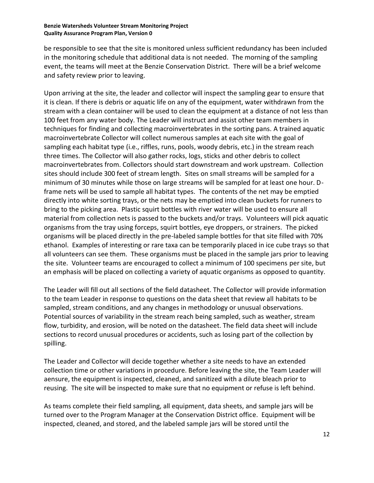be responsible to see that the site is monitored unless sufficient redundancy has been included in the monitoring schedule that additional data is not needed. The morning of the sampling event, the teams will meet at the Benzie Conservation District. There will be a brief welcome and safety review prior to leaving.

Upon arriving at the site, the leader and collector will inspect the sampling gear to ensure that it is clean. If there is debris or aquatic life on any of the equipment, water withdrawn from the stream with a clean container will be used to clean the equipment at a distance of not less than 100 feet from any water body. The Leader will instruct and assist other team members in techniques for finding and collecting macroinvertebrates in the sorting pans. A trained aquatic macroinvertebrate Collector will collect numerous samples at each site with the goal of sampling each habitat type (i.e., riffles, runs, pools, woody debris, etc.) in the stream reach three times. The Collector will also gather rocks, logs, sticks and other debris to collect macroinvertebrates from. Collectors should start downstream and work upstream. Collection sites should include 300 feet of stream length. Sites on small streams will be sampled for a minimum of 30 minutes while those on large streams will be sampled for at least one hour. Dframe nets will be used to sample all habitat types. The contents of the net may be emptied directly into white sorting trays, or the nets may be emptied into clean buckets for runners to bring to the picking area. Plastic squirt bottles with river water will be used to ensure all material from collection nets is passed to the buckets and/or trays. Volunteers will pick aquatic organisms from the tray using forceps, squirt bottles, eye droppers, or strainers. The picked organisms will be placed directly in the pre-labeled sample bottles for that site filled with 70% ethanol. Examples of interesting or rare taxa can be temporarily placed in ice cube trays so that all volunteers can see them. These organisms must be placed in the sample jars prior to leaving the site. Volunteer teams are encouraged to collect a minimum of 100 specimens per site, but an emphasis will be placed on collecting a variety of aquatic organisms as opposed to quantity.

The Leader will fill out all sections of the field datasheet. The Collector will provide information to the team Leader in response to questions on the data sheet that review all habitats to be sampled, stream conditions, and any changes in methodology or unusual observations. Potential sources of variability in the stream reach being sampled, such as weather, stream flow, turbidity, and erosion, will be noted on the datasheet. The field data sheet will include sections to record unusual procedures or accidents, such as losing part of the collection by spilling.

The Leader and Collector will decide together whether a site needs to have an extended collection time or other variations in procedure. Before leaving the site, the Team Leader will aensure, the equipment is inspected, cleaned, and sanitized with a dilute bleach prior to reusing. The site will be inspected to make sure that no equipment or refuse is left behind.

As teams complete their field sampling, all equipment, data sheets, and sample jars will be turned over to the Program Manager at the Conservation District office. Equipment will be inspected, cleaned, and stored, and the labeled sample jars will be stored until the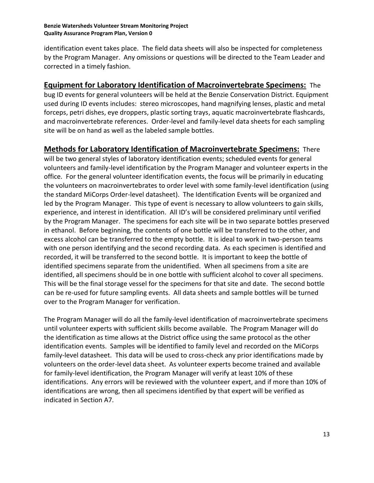identification event takes place. The field data sheets will also be inspected for completeness by the Program Manager. Any omissions or questions will be directed to the Team Leader and corrected in a timely fashion.

#### **Equipment for Laboratory Identification of Macroinvertebrate Specimens:** The

bug ID events for general volunteers will be held at the Benzie Conservation District. Equipment used during ID events includes: stereo microscopes, hand magnifying lenses, plastic and metal forceps, petri dishes, eye droppers, plastic sorting trays, aquatic macroinvertebrate flashcards, and macroinvertebrate references. Order-level and family-level data sheets for each sampling site will be on hand as well as the labeled sample bottles.

**Methods for Laboratory Identification of Macroinvertebrate Specimens:** There will be two general styles of laboratory identification events; scheduled events for general volunteers and family-level identification by the Program Manager and volunteer experts in the office. For the general volunteer identification events, the focus will be primarily in educating the volunteers on macroinvertebrates to order level with some family-level identification (using the standard MiCorps Order-level datasheet). The Identification Events will be organized and led by the Program Manager. This type of event is necessary to allow volunteers to gain skills, experience, and interest in identification. All ID's will be considered preliminary until verified by the Program Manager. The specimens for each site will be in two separate bottles preserved in ethanol. Before beginning, the contents of one bottle will be transferred to the other, and excess alcohol can be transferred to the empty bottle. It is ideal to work in two-person teams with one person identifying and the second recording data. As each specimen is identified and recorded, it will be transferred to the second bottle. It is important to keep the bottle of identified specimens separate from the unidentified. When all specimens from a site are identified, all specimens should be in one bottle with sufficient alcohol to cover all specimens. This will be the final storage vessel for the specimens for that site and date. The second bottle can be re-used for future sampling events. All data sheets and sample bottles will be turned over to the Program Manager for verification.

The Program Manager will do all the family-level identification of macroinvertebrate specimens until volunteer experts with sufficient skills become available. The Program Manager will do the identification as time allows at the District office using the same protocol as the other identification events. Samples will be identified to family level and recorded on the MiCorps family-level datasheet. This data will be used to cross-check any prior identifications made by volunteers on the order-level data sheet. As volunteer experts become trained and available for family-level identification, the Program Manager will verify at least 10% of these identifications. Any errors will be reviewed with the volunteer expert, and if more than 10% of identifications are wrong, then all specimens identified by that expert will be verified as indicated in Section A7.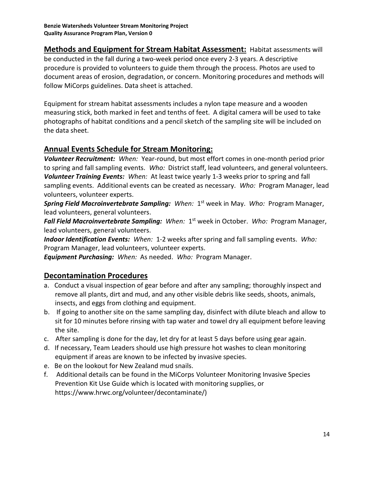**Methods and Equipment for Stream Habitat Assessment:** Habitat assessments will be conducted in the fall during a two-week period once every 2-3 years. A descriptive procedure is provided to volunteers to guide them through the process. Photos are used to document areas of erosion, degradation, or concern. Monitoring procedures and methods will follow MiCorps guidelines. Data sheet is attached.

Equipment for stream habitat assessments includes a nylon tape measure and a wooden measuring stick, both marked in feet and tenths of feet. A digital camera will be used to take photographs of habitat conditions and a pencil sketch of the sampling site will be included on the data sheet.

#### **Annual Events Schedule for Stream Monitoring:**

*Volunteer Recruitment: When:* Year-round, but most effort comes in one-month period prior to spring and fall sampling events. *Who:* District staff, lead volunteers, and general volunteers. *Volunteer Training Events: When:* At least twice yearly 1-3 weeks prior to spring and fall sampling events. Additional events can be created as necessary. *Who:* Program Manager, lead volunteers, volunteer experts.

Spring Field Macroinvertebrate Sampling: When: 1<sup>st</sup> week in May. Who: Program Manager, lead volunteers, general volunteers.

Fall Field Macroinvertebrate Sampling: When: 1<sup>st</sup> week in October. Who: Program Manager, lead volunteers, general volunteers.

*Indoor Identification Events: When:* 1-2 weeks after spring and fall sampling events. *Who:*  Program Manager, lead volunteers, volunteer experts.

*Equipment Purchasing: When:* As needed. *Who:* Program Manager.

### **Decontamination Procedures**

- a. Conduct a visual inspection of gear before and after any sampling; thoroughly inspect and remove all plants, dirt and mud, and any other visible debris like seeds, shoots, animals, insects, and eggs from clothing and equipment.
- b. If going to another site on the same sampling day, disinfect with dilute bleach and allow to sit for 10 minutes before rinsing with tap water and towel dry all equipment before leaving the site.
- c. After sampling is done for the day, let dry for at least 5 days before using gear again.
- d. If necessary, Team Leaders should use high pressure hot washes to clean monitoring equipment if areas are known to be infected by invasive species.
- e. Be on the lookout for New Zealand mud snails.
- f. Additional details can be found in the MiCorps Volunteer Monitoring Invasive Species Prevention Kit Use Guide which is located with monitoring supplies, or https://www.hrwc.org/volunteer/decontaminate/)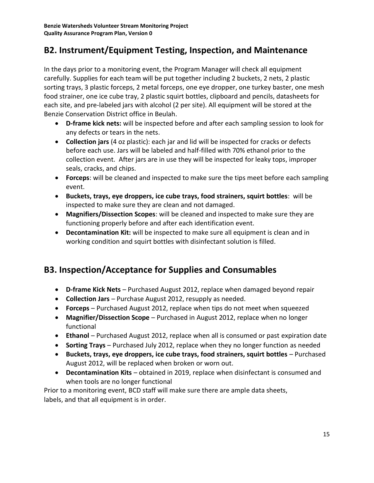## **B2. Instrument/Equipment Testing, Inspection, and Maintenance**

In the days prior to a monitoring event, the Program Manager will check all equipment carefully. Supplies for each team will be put together including 2 buckets, 2 nets, 2 plastic sorting trays, 3 plastic forceps, 2 metal forceps, one eye dropper, one turkey baster, one mesh food strainer, one ice cube tray, 2 plastic squirt bottles, clipboard and pencils, datasheets for each site, and pre-labeled jars with alcohol (2 per site). All equipment will be stored at the Benzie Conservation District office in Beulah.

- **D-frame kick nets:** will be inspected before and after each sampling session to look for any defects or tears in the nets.
- **Collection jars** (4 oz plastic): each jar and lid will be inspected for cracks or defects before each use. Jars will be labeled and half-filled with 70% ethanol prior to the collection event. After jars are in use they will be inspected for leaky tops, improper seals, cracks, and chips.
- **Forceps**: will be cleaned and inspected to make sure the tips meet before each sampling event.
- **Buckets, trays, eye droppers, ice cube trays, food strainers, squirt bottles**: will be inspected to make sure they are clean and not damaged.
- **Magnifiers/Dissection Scopes**: will be cleaned and inspected to make sure they are functioning properly before and after each identification event.
- **Decontamination Kit:** will be inspected to make sure all equipment is clean and in working condition and squirt bottles with disinfectant solution is filled.

## **B3. Inspection/Acceptance for Supplies and Consumables**

- **D-frame Kick Nets**  Purchased August 2012, replace when damaged beyond repair
- **Collection Jars**  Purchase August 2012, resupply as needed.
- **Forceps**  Purchased August 2012, replace when tips do not meet when squeezed
- **Magnifier/Dissection Scope**  Purchased in August 2012, replace when no longer functional
- **Ethanol** Purchased August 2012, replace when all is consumed or past expiration date
- **Sorting Trays**  Purchased July 2012, replace when they no longer function as needed
- **Buckets, trays, eye droppers, ice cube trays, food strainers, squirt bottles** Purchased August 2012, will be replaced when broken or worn out.
- **Decontamination Kits**  obtained in 2019, replace when disinfectant is consumed and when tools are no longer functional

Prior to a monitoring event, BCD staff will make sure there are ample data sheets, labels, and that all equipment is in order.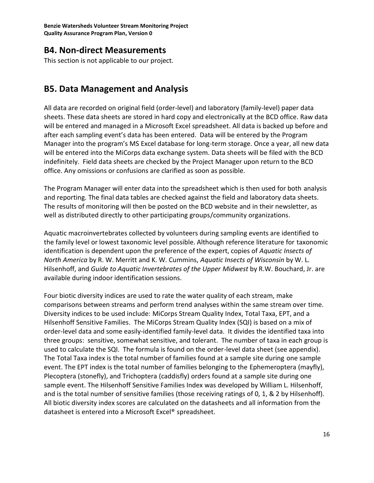### **B4. Non-direct Measurements**

This section is not applicable to our project.

### **B5. Data Management and Analysis**

All data are recorded on original field (order-level) and laboratory (family-level) paper data sheets. These data sheets are stored in hard copy and electronically at the BCD office. Raw data will be entered and managed in a Microsoft Excel spreadsheet. All data is backed up before and after each sampling event's data has been entered. Data will be entered by the Program Manager into the program's MS Excel database for long-term storage. Once a year, all new data will be entered into the MiCorps data exchange system. Data sheets will be filed with the BCD indefinitely. Field data sheets are checked by the Project Manager upon return to the BCD office. Any omissions or confusions are clarified as soon as possible.

The Program Manager will enter data into the spreadsheet which is then used for both analysis and reporting. The final data tables are checked against the field and laboratory data sheets. The results of monitoring will then be posted on the BCD website and in their newsletter, as well as distributed directly to other participating groups/community organizations.

Aquatic macroinvertebrates collected by volunteers during sampling events are identified to the family level or lowest taxonomic level possible. Although reference literature for taxonomic identification is dependent upon the preference of the expert, copies of *Aquatic Insects of North America* by R. W. Merritt and K. W. Cummins, *Aquatic Insects of Wisconsin* by W. L. Hilsenhoff, and *Guide to Aquatic Invertebrates of the Upper Midwest* by R.W. Bouchard, Jr. are available during indoor identification sessions.

Four biotic diversity indices are used to rate the water quality of each stream, make comparisons between streams and perform trend analyses within the same stream over time. Diversity indices to be used include: MiCorps Stream Quality Index, Total Taxa, EPT, and a Hilsenhoff Sensitive Families. The MiCorps Stream Quality Index (SQI) is based on a mix of order-level data and some easily-identified family-level data. It divides the identified taxa into three groups: sensitive, somewhat sensitive, and tolerant. The number of taxa in each group is used to calculate the SQI. The formula is found on the order-level data sheet (see appendix). The Total Taxa index is the total number of families found at a sample site during one sample event. The EPT index is the total number of families belonging to the Ephemeroptera (mayfly), Plecoptera (stonefly), and Trichoptera (caddisfly) orders found at a sample site during one sample event. The Hilsenhoff Sensitive Families Index was developed by William L. Hilsenhoff, and is the total number of sensitive families (those receiving ratings of 0, 1, & 2 by Hilsenhoff). All biotic diversity index scores are calculated on the datasheets and all information from the datasheet is entered into a Microsoft Excel® spreadsheet.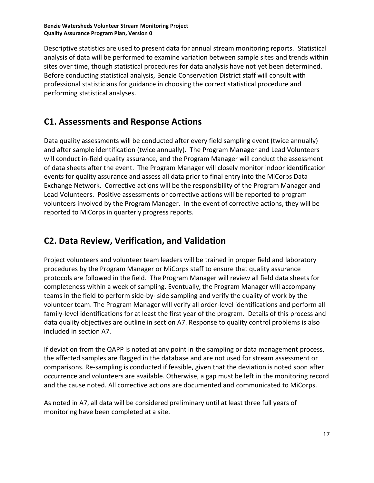Descriptive statistics are used to present data for annual stream monitoring reports. Statistical analysis of data will be performed to examine variation between sample sites and trends within sites over time, though statistical procedures for data analysis have not yet been determined. Before conducting statistical analysis, Benzie Conservation District staff will consult with professional statisticians for guidance in choosing the correct statistical procedure and performing statistical analyses.

## **C1. Assessments and Response Actions**

Data quality assessments will be conducted after every field sampling event (twice annually) and after sample identification (twice annually). The Program Manager and Lead Volunteers will conduct in-field quality assurance, and the Program Manager will conduct the assessment of data sheets after the event. The Program Manager will closely monitor indoor identification events for quality assurance and assess all data prior to final entry into the MiCorps Data Exchange Network. Corrective actions will be the responsibility of the Program Manager and Lead Volunteers. Positive assessments or corrective actions will be reported to program volunteers involved by the Program Manager. In the event of corrective actions, they will be reported to MiCorps in quarterly progress reports.

## **C2. Data Review, Verification, and Validation**

Project volunteers and volunteer team leaders will be trained in proper field and laboratory procedures by the Program Manager or MiCorps staff to ensure that quality assurance protocols are followed in the field. The Program Manager will review all field data sheets for completeness within a week of sampling. Eventually, the Program Manager will accompany teams in the field to perform side-by- side sampling and verify the quality of work by the volunteer team. The Program Manager will verify all order-level identifications and perform all family-level identifications for at least the first year of the program. Details of this process and data quality objectives are outline in section A7. Response to quality control problems is also included in section A7.

If deviation from the QAPP is noted at any point in the sampling or data management process, the affected samples are flagged in the database and are not used for stream assessment or comparisons. Re-sampling is conducted if feasible, given that the deviation is noted soon after occurrence and volunteers are available. Otherwise, a gap must be left in the monitoring record and the cause noted. All corrective actions are documented and communicated to MiCorps.

As noted in A7, all data will be considered preliminary until at least three full years of monitoring have been completed at a site.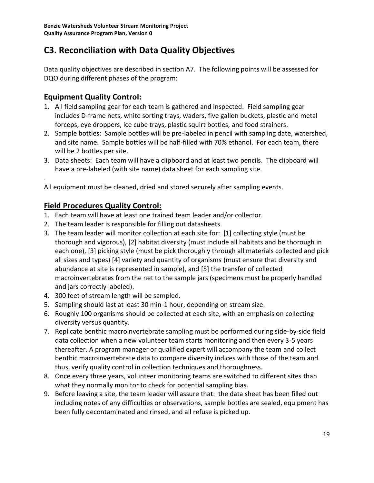## **C3. Reconciliation with Data Quality Objectives**

Data quality objectives are described in section A7. The following points will be assessed for DQO during different phases of the program:

### **Equipment Quality Control:**

- 1. All field sampling gear for each team is gathered and inspected. Field sampling gear includes D-frame nets, white sorting trays, waders, five gallon buckets, plastic and metal forceps, eye droppers, ice cube trays, plastic squirt bottles, and food strainers.
- 2. Sample bottles: Sample bottles will be pre-labeled in pencil with sampling date, watershed, and site name. Sample bottles will be half-filled with 70% ethanol. For each team, there will be 2 bottles per site.
- 3. Data sheets: Each team will have a clipboard and at least two pencils. The clipboard will have a pre-labeled (with site name) data sheet for each sampling site.

. All equipment must be cleaned, dried and stored securely after sampling events.

### **Field Procedures Quality Control:**

- 1. Each team will have at least one trained team leader and/or collector.
- 2. The team leader is responsible for filling out datasheets.
- 3. The team leader will monitor collection at each site for: [1] collecting style (must be thorough and vigorous), [2] habitat diversity (must include all habitats and be thorough in each one), [3] picking style (must be pick thoroughly through all materials collected and pick all sizes and types) [4] variety and quantity of organisms (must ensure that diversity and abundance at site is represented in sample), and [5] the transfer of collected macroinvertebrates from the net to the sample jars (specimens must be properly handled and jars correctly labeled).
- 4. 300 feet of stream length will be sampled.
- 5. Sampling should last at least 30 min-1 hour, depending on stream size.
- 6. Roughly 100 organisms should be collected at each site, with an emphasis on collecting diversity versus quantity.
- 7. Replicate benthic macroinvertebrate sampling must be performed during side-by-side field data collection when a new volunteer team starts monitoring and then every 3-5 years thereafter. A program manager or qualified expert will accompany the team and collect benthic macroinvertebrate data to compare diversity indices with those of the team and thus, verify quality control in collection techniques and thoroughness.
- 8. Once every three years, volunteer monitoring teams are switched to different sites than what they normally monitor to check for potential sampling bias.
- 9. Before leaving a site, the team leader will assure that: the data sheet has been filled out including notes of any difficulties or observations, sample bottles are sealed, equipment has been fully decontaminated and rinsed, and all refuse is picked up.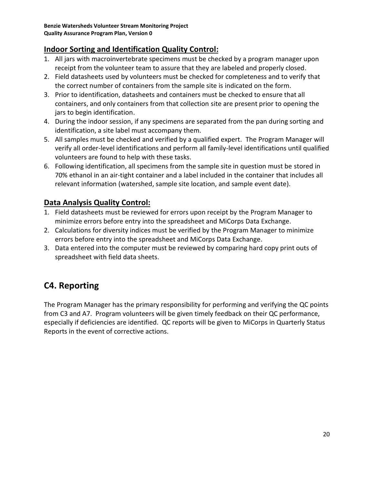### **Indoor Sorting and Identification Quality Control:**

- 1. All jars with macroinvertebrate specimens must be checked by a program manager upon receipt from the volunteer team to assure that they are labeled and properly closed.
- 2. Field datasheets used by volunteers must be checked for completeness and to verify that the correct number of containers from the sample site is indicated on the form.
- 3. Prior to identification, datasheets and containers must be checked to ensure that all containers, and only containers from that collection site are present prior to opening the jars to begin identification.
- 4. During the indoor session, if any specimens are separated from the pan during sorting and identification, a site label must accompany them.
- 5. All samples must be checked and verified by a qualified expert. The Program Manager will verify all order-level identifications and perform all family-level identifications until qualified volunteers are found to help with these tasks.
- 6. Following identification, all specimens from the sample site in question must be stored in 70% ethanol in an air-tight container and a label included in the container that includes all relevant information (watershed, sample site location, and sample event date).

### **Data Analysis Quality Control:**

- 1. Field datasheets must be reviewed for errors upon receipt by the Program Manager to minimize errors before entry into the spreadsheet and MiCorps Data Exchange.
- 2. Calculations for diversity indices must be verified by the Program Manager to minimize errors before entry into the spreadsheet and MiCorps Data Exchange.
- 3. Data entered into the computer must be reviewed by comparing hard copy print outs of spreadsheet with field data sheets.

# **C4. Reporting**

The Program Manager has the primary responsibility for performing and verifying the QC points from C3 and A7. Program volunteers will be given timely feedback on their QC performance, especially if deficiencies are identified. QC reports will be given to MiCorps in Quarterly Status Reports in the event of corrective actions.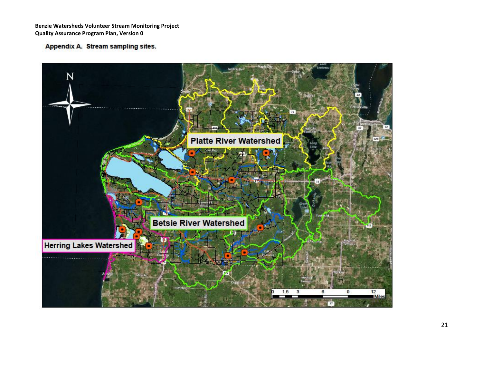Appendix A. Stream sampling sites.

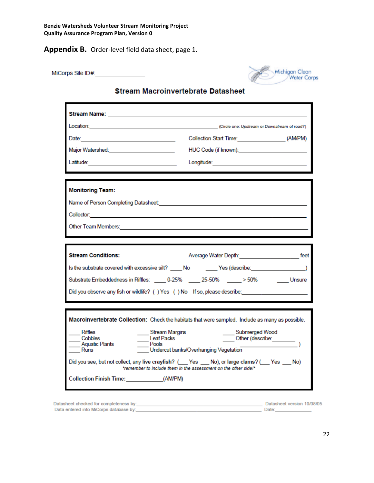**Appendix B.** Order-level field data sheet, page 1.

MiCorps Site ID#: 1999 1999



#### **Stream Macroinvertebrate Datasheet**

| Stream Name: _____________________________<br>Date: 2008 - 2008 - 2008 - 2009 - 2009 - 2010 - 2010 - 2010 - 2010 - 2010 - 2010 - 2010 - 2010 - 2010 - 2010 -<br>Major Watershed: _________________________ | Location: Circle one: Upstream or Downstream of road?)<br>Collection Start Time: (AM/PM)<br>HUC Code (if known): very serve that the code of the server of the server of the server of the server of the server of the server of the server of the server of the server of the server of the server of the server of the s                             |
|------------------------------------------------------------------------------------------------------------------------------------------------------------------------------------------------------------|--------------------------------------------------------------------------------------------------------------------------------------------------------------------------------------------------------------------------------------------------------------------------------------------------------------------------------------------------------|
| <b>Monitoring Team:</b>                                                                                                                                                                                    |                                                                                                                                                                                                                                                                                                                                                        |
|                                                                                                                                                                                                            |                                                                                                                                                                                                                                                                                                                                                        |
| <b>Stream Conditions:</b>                                                                                                                                                                                  |                                                                                                                                                                                                                                                                                                                                                        |
| Substrate Embeddedness in Riffles: _____ 0-25% _____ 25-50% _____ > 50%                                                                                                                                    | Is the substrate covered with excessive silt? No Yes (describe:<br>Unsure<br>Did you observe any fish or wildlife? () Yes () No If so, please describe:                                                                                                                                                                                                |
| <b>Riffles</b><br>Stream Margins<br>Cobbles<br>Leaf Packs<br>Pools<br>Aquatic Plants<br>Runs<br>Collection Finish Time: (AM/PM)                                                                            | Macroinvertebrate Collection: Check the habitats that were sampled. Include as many as possible.<br>____ Submerged Wood<br>Other (describe: _______<br>Undercut banks/Overhanging Vegetation<br>Did you see, but not collect, any live crayfish? (Yes No), or large clams? (Yes No)<br>*remember to include them in the assessment on the other side!* |

| Datasheet checked for completeness by: | Datasheet version 10/08/05 |  |
|----------------------------------------|----------------------------|--|
| Data entered into MiCorps database by: | Date:                      |  |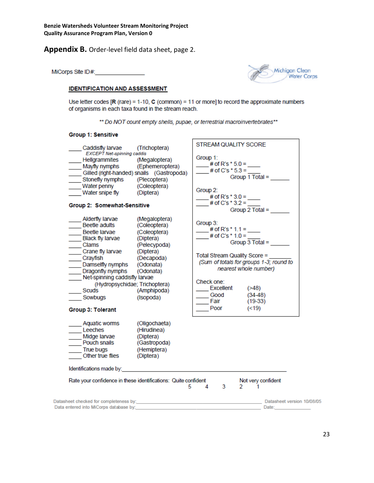#### **Appendix B.** Order-level field data sheet, page 2.

MiCorps Site ID#:



#### **IDENTIFICATION AND ASSESSMENT**

Use letter codes  $[**R**$  (rare) = 1-10,  **(common) = 11 or more] to record the approximate numbers** of organisms in each taxa found in the stream reach.

\*\* Do NOT count empty shells, pupae, or terrestrial macroinvertebrates\*\*

#### **Group 1: Sensitive**

| (Trichoptera)<br>Caddisfly larvae<br>EXCEPT Net-spinning caddis                                                                                                                                                                                                                                                                                                                                                                                | <b>STREAM QUALITY SCORE</b>                                                                                                                                                                                                                                                           |
|------------------------------------------------------------------------------------------------------------------------------------------------------------------------------------------------------------------------------------------------------------------------------------------------------------------------------------------------------------------------------------------------------------------------------------------------|---------------------------------------------------------------------------------------------------------------------------------------------------------------------------------------------------------------------------------------------------------------------------------------|
| Hellgrammites<br>(Megaloptera)<br>Mayfly nymphs (Ephemeroptera)<br>Gilled (right-handed) snails (Gastropoda)                                                                                                                                                                                                                                                                                                                                   | Group 1:<br># of R's $*$ 5.0 =<br># of C's $*$ 5.3 =<br>Group 1 Total =                                                                                                                                                                                                               |
| Stonefly nymphs (Plecoptera)<br>Water penny<br>(Coleoptera)<br>Water snipe fly<br>(Diptera)                                                                                                                                                                                                                                                                                                                                                    | Group 2:<br># of R's $*$ 3.0 =                                                                                                                                                                                                                                                        |
| Group 2: Somewhat-Sensitive                                                                                                                                                                                                                                                                                                                                                                                                                    | # of C's $*$ 3.2 =<br>Group 2 Total =                                                                                                                                                                                                                                                 |
| Alderfly larvae<br>(Megaloptera)<br>Beetle adults<br>(Coleoptera)<br>Beetle larvae<br>(Coleoptera)<br><b>Black fly larvae</b><br>(Diptera)<br>Clams<br>(Pelecypoda)<br>Crane fly larvae<br>(Diptera)<br>Crayfish<br>(Decapoda)<br>Damselfly nymphs<br>(Odonata)<br>Dragonfly nymphs<br>(Odonata)<br>Net-spinning caddisfly larvae<br>(Hydropsychidae; Trichoptera)<br>Scuds<br>(Amphipoda)<br>Sowbugs<br>(Isopoda)<br><b>Group 3: Tolerant</b> | Group 3:<br># of R's $*$ 1.1 =<br># of C's $*$ 1.0 =<br>Group $3$ Total =<br>Total Stream Quality Score =<br>(Sum of totals for groups 1-3; round to<br>nearest whole number)<br>Check one:<br><b>Excellent</b><br>( > 48)<br>$(34-48)$<br>Good<br>Fair<br>$(19-33)$<br>Poor<br>(<19) |
| (Oligochaeta)<br>Aquatic worms<br>Leeches<br>(Hirudinea)<br>Midge larvae<br>(Diptera)<br>Pouch snails<br>(Gastropoda)<br>True bugs<br>(Hemiptera)<br>Other true flies<br>(Diptera)                                                                                                                                                                                                                                                             |                                                                                                                                                                                                                                                                                       |
| Identifications made by:                                                                                                                                                                                                                                                                                                                                                                                                                       |                                                                                                                                                                                                                                                                                       |
| Rate your confidence in these identifications: Quite confident<br>5                                                                                                                                                                                                                                                                                                                                                                            | Not very confident<br>3<br>4<br>$\sim$<br>1                                                                                                                                                                                                                                           |
| Data entered into MiCorps database by: the state of the state of the state of the state of the state of the state of the state of the state of the state of the state of the state of the state of the state of the state of t                                                                                                                                                                                                                 | Datasheet version 10/08/05<br>Date:                                                                                                                                                                                                                                                   |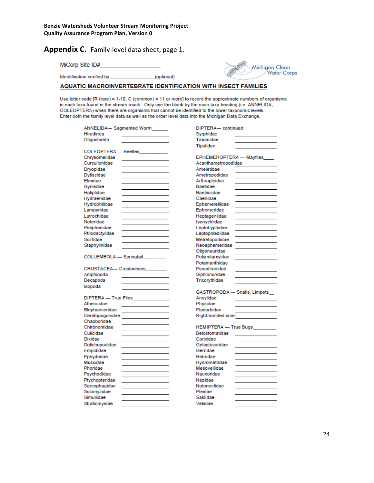**Appendix C.** Family-level data sheet, page 1.

MiCorp Site ID#

Identification verified by: \_\_\_\_\_\_\_\_\_\_\_\_\_\_\_\_\_(optional)



#### AQUATIC MACROINVERTEBRATE IDENTIFICATION WITH INSECT FAMILIES

Use letter code [R (rare) = 1-10, C (common) = 11 or more] to record the approximate numbers of organisms in each taxa found in the stream reach. Only use the blank by the main taxa heading (i.e. ANNELIDA, COLEOPTERA) when there are organisms that cannot be identified to the lower taxonomic levels. Enter both the family level data as well as the order level data into the Michigan Data Exchange.

| ANNELIDA- Segmented Worm         | DIPTERA-continued             |  |
|----------------------------------|-------------------------------|--|
| Hirudinea                        | Syrphidae                     |  |
| Oligochaeta                      | Tabanidae                     |  |
|                                  | Tipulidae                     |  |
| COLEOPTERA - Beetles             |                               |  |
| Chrysomelidae                    | EPHEMEROPTERA - Mayflies      |  |
| Curculionidae                    | Acanthametropodidae           |  |
| Dryopidae                        | Ameletidae                    |  |
| Dytiscidae                       | Ametropodidae                 |  |
| Elmidae                          | Arthropleidae                 |  |
| Gyrinidae                        | Baetidae                      |  |
| Haliplidae                       | Baetiscidae                   |  |
| Hydraenidae                      | Caenidae                      |  |
| Hydrophilidae                    | Ephemerellidae                |  |
| Lampyridae                       | Ephemeridae                   |  |
| Lutrochidae                      | Heptageniidae                 |  |
| Noteridae                        | Isonychiidae                  |  |
| Psephenidae                      | Leptohyphidae                 |  |
| Ptilodactylidae                  | Leptophlebiidae               |  |
| Scirtidae                        | Metretopodidae                |  |
| Staphylinidae                    | Neoephemeridae                |  |
|                                  | Oligoneuridae                 |  |
| COLLEMBOLA - Springtail          | Polymitarcyidae               |  |
|                                  | Potamanthidae                 |  |
| CRUSTACEA— Crustaceans           | Pseudironidae                 |  |
| Amphipoda                        | Siphlonuridae                 |  |
| Decapoda                         | Tricorythidae                 |  |
| Isopoda                          |                               |  |
|                                  | GASTROPODA - Snails, Limpets_ |  |
| DIPTERA - True Flies ___________ | Ancylidae                     |  |
| Athericidae                      | Physidae                      |  |
| Blephariceridae                  | Planorbidae                   |  |
| Ceratopogonidae                  | Right-handed snail            |  |
| Chaoboridae                      |                               |  |
| Chironomidae                     | HEMIPTERA - True Bugs_______  |  |
| Culicidae                        | Belostomatidae                |  |
| <b>Dixidae</b>                   | Corixidae                     |  |
| Dolichopodidae                   | Gelastocoridae                |  |
| Empididae                        | Gerridae                      |  |
| Ephydridae                       | Hebridae                      |  |
| Muscidae                         | Hydrometridae                 |  |
| Phoridae                         | Mesoveliidae                  |  |
| Psychodidae                      | Naucoridae                    |  |
| Ptychopteridae                   | Nepidae                       |  |
| Sarcophagidae                    | Notonectidae                  |  |
| Sciomyzidae                      | Pleidae                       |  |
| Simuliidae                       | Saldidae                      |  |
| Stratiomvidae                    | Veliidae                      |  |